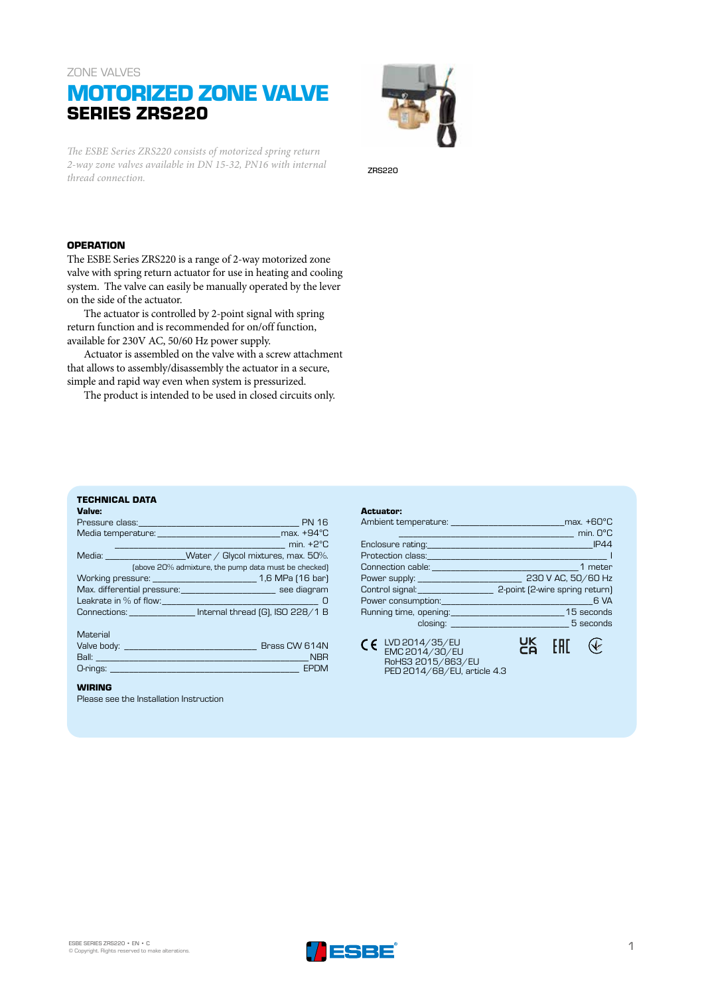### ZONE VALVES

# **MOTORIZED ZONE VALVE SERIES ZRS220**

*The ESBE Series ZRS220 consists of motorized spring return 2-way zone valves available in DN 15-32, PN16 with internal thread connection.*

#### ZRS220

### **OPERATION**

The ESBE Series ZRS220 is a range of 2-way motorized zone valve with spring return actuator for use in heating and cooling system. The valve can easily be manually operated by the lever on the side of the actuator.

The actuator is controlled by 2-point signal with spring return function and is recommended for on/off function, available for 230V AC, 50/60 Hz power supply.

Actuator is assembled on the valve with a screw attachment that allows to assembly/disassembly the actuator in a secure, simple and rapid way even when system is pressurized.

The product is intended to be used in closed circuits only.

## **TECHNICAL DATA**

| Valve:                                                                                                                                                                                                                                       |  |  |  |  |  |  |  |  |
|----------------------------------------------------------------------------------------------------------------------------------------------------------------------------------------------------------------------------------------------|--|--|--|--|--|--|--|--|
| Pressure class: Pressure class:                                                                                                                                                                                                              |  |  |  |  |  |  |  |  |
| Media temperature: with the max. +94 °C                                                                                                                                                                                                      |  |  |  |  |  |  |  |  |
| $min. +2^{\circ}C$                                                                                                                                                                                                                           |  |  |  |  |  |  |  |  |
| Media: ____________________Water / Glycol mixtures, max. 50%.                                                                                                                                                                                |  |  |  |  |  |  |  |  |
| (above 20% admixture, the pump data must be checked)                                                                                                                                                                                         |  |  |  |  |  |  |  |  |
|                                                                                                                                                                                                                                              |  |  |  |  |  |  |  |  |
| Max. differential pressure: _____________________________ see diagram                                                                                                                                                                        |  |  |  |  |  |  |  |  |
| Leakrate in % of flow: Network and the state of the state of the state of the state of the state of the state of the state of the state of the state of the state of the state of the state of the state of the state of the s               |  |  |  |  |  |  |  |  |
| Connections: Internal thread [G], ISO 228/1 B                                                                                                                                                                                                |  |  |  |  |  |  |  |  |
|                                                                                                                                                                                                                                              |  |  |  |  |  |  |  |  |
| Material                                                                                                                                                                                                                                     |  |  |  |  |  |  |  |  |
| Brass CW 614N                                                                                                                                                                                                                                |  |  |  |  |  |  |  |  |
| <b>NBR</b>                                                                                                                                                                                                                                   |  |  |  |  |  |  |  |  |
| O-rings: <b>Contract Contract Contract Contract Contract Contract Contract Contract Contract Contract Contract Contract Contract Contract Contract Contract Contract Contract Contract Contract Contract Contract Contract Contr</b><br>EPDM |  |  |  |  |  |  |  |  |

#### **WIRING**

Please see the Installation Instruction

#### **Actuator:** Ambient temperature: \_\_\_\_\_\_\_\_\_\_\_\_\_\_\_\_\_\_\_\_\_\_\_\_max. +60ºC \_\_\_\_\_\_\_\_\_\_\_\_\_\_\_\_\_\_\_\_\_\_\_\_\_\_\_\_\_\_\_\_\_\_\_\_\_ min. 0ºC Enclosure rating: Protection class:\_\_\_\_\_\_\_\_\_\_\_\_\_\_\_\_\_\_\_\_\_\_\_\_\_\_\_\_\_\_\_\_\_\_\_\_\_\_ I Connection cable: \_\_\_\_\_\_\_\_\_\_\_\_\_\_\_\_\_\_\_\_\_\_\_\_\_\_\_\_\_\_\_1 meter  $\overline{P}$ <br> $\overline{P}$  230 V AC, 50/60 Hz Control signal:\_\_\_\_\_\_\_\_\_\_\_\_\_\_\_\_ 2-point (2-wire spring return) Power consumption:\_\_\_\_\_\_\_\_\_\_\_\_\_\_\_\_\_\_\_\_\_\_\_\_\_\_\_\_\_\_\_\_6 VA Running time, opening: closing: \_\_\_\_\_\_\_\_\_\_\_\_\_\_\_\_\_\_\_\_\_\_\_\_\_ 5 seconds  $CE$  LVD 2014/35/EU **UK** EAC  $\mathcal{F}$ EMC 2014/30/EU RoHS3 2015/863/EU PED 2014/68/EU, article 4.3



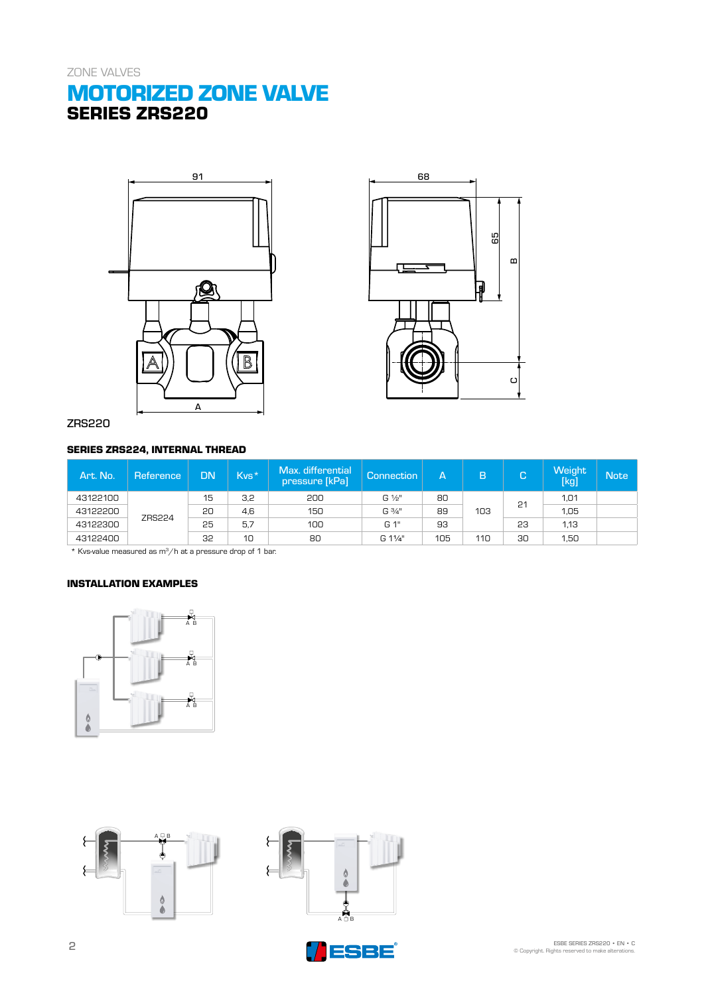# **MOTORIZED ZONE VALVE SERIES ZRS220**





## ZRS220

## **SERIES ZRS224, INTERNAL THREAD**

| Art. No. | Reference     | DN | Kvs* | Max. differential<br>pressure [kPa] | Connection     | Ά.  | B   | C  | Weight<br>[kg] | <b>Note</b> |
|----------|---------------|----|------|-------------------------------------|----------------|-----|-----|----|----------------|-------------|
| 43122100 | <b>ZRS224</b> | 15 | 3,2  | 200                                 | $G\frac{1}{2}$ | 80  | 103 | 21 | 1,01           |             |
| 43122200 |               | 20 | 4,6  | 150                                 | G 3/4"         | 89  |     |    | 1,05           |             |
| 43122300 |               | 25 | 5.7  | 100                                 | G 1"           | 93  |     | 23 | 1,13           |             |
| 43122400 |               | 32 | 10   | 80                                  | G 11/4"        | 105 | 110 | 30 | 1,50           |             |

\* Kvs-value measured as m3/h at a pressure drop of 1 bar.

### **INSTALLATION EXAMPLES**